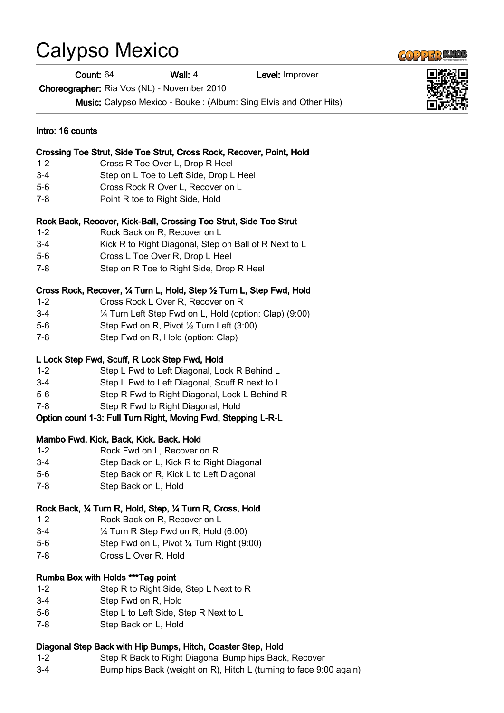## Calypso Mexico

Count: 64 Wall: 4 Level: Improver

Choreographer: Ria Vos (NL) - November 2010

Music: Calypso Mexico - Bouke : (Album: Sing Elvis and Other Hits)

| Intro: 16 counts<br>Crossing Toe Strut, Side Toe Strut, Cross Rock, Recover, Point, Hold |                                                                        |
|------------------------------------------------------------------------------------------|------------------------------------------------------------------------|
|                                                                                          |                                                                        |
| $3 - 4$                                                                                  | Step on L Toe to Left Side, Drop L Heel                                |
| $5-6$                                                                                    | Cross Rock R Over L, Recover on L                                      |
| $7 - 8$                                                                                  | Point R toe to Right Side, Hold                                        |
|                                                                                          | Rock Back, Recover, Kick-Ball, Crossing Toe Strut, Side Toe Strut      |
| $1 - 2$                                                                                  | Rock Back on R, Recover on L                                           |
| $3-4$                                                                                    | Kick R to Right Diagonal, Step on Ball of R Next to L                  |
| $5-6$                                                                                    | Cross L Toe Over R, Drop L Heel                                        |
| $7 - 8$                                                                                  | Step on R Toe to Right Side, Drop R Heel                               |
|                                                                                          | Cross Rock, Recover, 1⁄4 Turn L, Hold, Step 1⁄2 Turn L, Step Fwd, Hold |
| $1 - 2$                                                                                  | Cross Rock L Over R, Recover on R                                      |
| $3-4$                                                                                    | 1/4 Turn Left Step Fwd on L, Hold (option: Clap) (9:00)                |
| $5-6$                                                                                    | Step Fwd on R, Pivot 1/2 Turn Left (3:00)                              |
| 7-8                                                                                      | Step Fwd on R, Hold (option: Clap)                                     |
|                                                                                          | L Lock Step Fwd, Scuff, R Lock Step Fwd, Hold                          |
| $1 - 2$                                                                                  | Step L Fwd to Left Diagonal, Lock R Behind L                           |
| $3-4$                                                                                    | Step L Fwd to Left Diagonal, Scuff R next to L                         |
| $5-6$                                                                                    | Step R Fwd to Right Diagonal, Lock L Behind R                          |
| $7 - 8$                                                                                  | Step R Fwd to Right Diagonal, Hold                                     |
|                                                                                          | Option count 1-3: Full Turn Right, Moving Fwd, Stepping L-R-L          |
|                                                                                          | Mambo Fwd, Kick, Back, Kick, Back, Hold                                |
| $1 - 2$                                                                                  | Rock Fwd on L, Recover on R                                            |
| $3-4$                                                                                    | Step Back on L, Kick R to Right Diagonal                               |
| $5-6$                                                                                    | Step Back on R, Kick L to Left Diagonal                                |
| 7-8                                                                                      | Step Back on L, Hold                                                   |
|                                                                                          | Rock Back, 1⁄4 Turn R, Hold, Step, 1⁄4 Turn R, Cross, Hold             |
| $1 - 2$                                                                                  | Rock Back on R, Recover on L                                           |
| $3-4$                                                                                    | $\frac{1}{4}$ Turn R Step Fwd on R, Hold (6:00)                        |
| $5-6$                                                                                    | Step Fwd on L, Pivot 1/4 Turn Right (9:00)                             |
| $7-8$                                                                                    | Cross L Over R, Hold                                                   |
|                                                                                          | Rumba Box with Holds ***Tag point                                      |
| $1 - 2$                                                                                  | Step R to Right Side, Step L Next to R                                 |
| $3-4$                                                                                    | Step Fwd on R, Hold                                                    |
| $5-6$                                                                                    | Step L to Left Side, Step R Next to L                                  |
| $7-8$                                                                                    | Step Back on L, Hold                                                   |
|                                                                                          | Diagonal Step Back with Hip Bumps, Hitch, Coaster Step, Hold           |
| $1 - 2$                                                                                  | Step R Back to Right Diagonal Bump hips Back, Recover                  |

3-4 Bump hips Back (weight on R), Hitch L (turning to face 9:00 again)